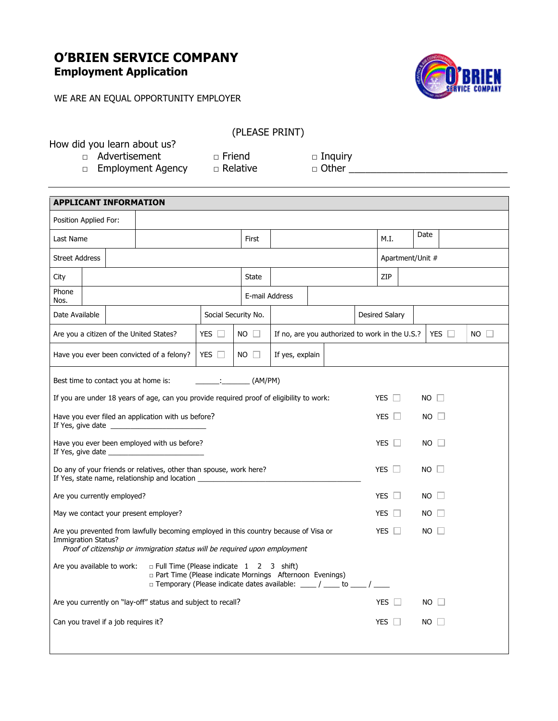## **O'BRIEN SERVICE COMPANY Employment Application**

WE ARE AN EQUAL OPPORTUNITY EMPLOYER



|  |  |  |  | How did you learn about us? |  |
|--|--|--|--|-----------------------------|--|
|--|--|--|--|-----------------------------|--|

(PLEASE PRINT)

□ Advertisement □ Friend □ Inquiry □ Employment Agency □ Relative □ Other \_\_\_\_\_\_\_\_\_\_\_\_\_\_\_\_\_\_\_\_\_\_\_\_\_\_\_\_\_\_\_\_\_

| <b>APPLICANT INFORMATION</b>                                                                                                                                                                                        |  |  |                                                                                          |                     |                |                                                |              |            |           |                      |  |                     |             |  |
|---------------------------------------------------------------------------------------------------------------------------------------------------------------------------------------------------------------------|--|--|------------------------------------------------------------------------------------------|---------------------|----------------|------------------------------------------------|--------------|------------|-----------|----------------------|--|---------------------|-------------|--|
| Position Applied For:                                                                                                                                                                                               |  |  |                                                                                          |                     |                |                                                |              |            |           |                      |  |                     |             |  |
| Last Name                                                                                                                                                                                                           |  |  |                                                                                          | First               |                |                                                |              |            | M.I.      | Date                 |  |                     |             |  |
| <b>Street Address</b>                                                                                                                                                                                               |  |  |                                                                                          |                     |                |                                                |              |            |           | Apartment/Unit #     |  |                     |             |  |
| City                                                                                                                                                                                                                |  |  |                                                                                          |                     | State          |                                                |              |            |           | ZIP                  |  |                     |             |  |
| Phone<br>Nos.                                                                                                                                                                                                       |  |  |                                                                                          |                     | E-mail Address |                                                |              |            |           |                      |  |                     |             |  |
| Date Available                                                                                                                                                                                                      |  |  |                                                                                          | Social Security No. |                |                                                |              |            |           | Desired Salary       |  |                     |             |  |
|                                                                                                                                                                                                                     |  |  | Are you a citizen of the United States?                                                  | YES                 | $NO$ $\Box$    | If no, are you authorized to work in the U.S.? |              |            |           |                      |  | YES $\Box$          | $NO$ $\Box$ |  |
|                                                                                                                                                                                                                     |  |  | Have you ever been convicted of a felony?                                                | YES $\Box$          | $NO \Box$      | If yes, explain                                |              |            |           |                      |  |                     |             |  |
|                                                                                                                                                                                                                     |  |  | Best time to contact you at home is:                                                     |                     | : (AM/PM)      |                                                |              |            |           |                      |  |                     |             |  |
|                                                                                                                                                                                                                     |  |  | If you are under 18 years of age, can you provide required proof of eligibility to work: |                     |                |                                                |              |            |           | YES $\Box$           |  | NO.<br>$\mathbf{1}$ |             |  |
| Have you ever filed an application with us before?<br><b>YES</b><br>$\Box$<br>$NO \perp$                                                                                                                            |  |  |                                                                                          |                     |                |                                                |              |            |           |                      |  |                     |             |  |
| Have you ever been employed with us before?<br>If Yes, give date _                                                                                                                                                  |  |  |                                                                                          |                     |                |                                                |              | <b>YES</b> |           | NO.                  |  |                     |             |  |
| Do any of your friends or relatives, other than spouse, work here?<br>If Yes, state name, relationship and location __________________________________                                                              |  |  |                                                                                          |                     |                |                                                | $YES$ $\Box$ |            | NO.       |                      |  |                     |             |  |
| Are you currently employed?                                                                                                                                                                                         |  |  |                                                                                          |                     |                |                                                |              |            |           | <b>YES</b><br>$\Box$ |  | NO.                 |             |  |
|                                                                                                                                                                                                                     |  |  | May we contact your present employer?                                                    |                     |                |                                                |              |            |           | <b>YES</b>           |  | NO.                 |             |  |
| Are you prevented from lawfully becoming employed in this country because of Visa or<br><b>YES</b><br>Immigration Status?<br>Proof of citizenship or immigration status will be required upon employment            |  |  |                                                                                          |                     |                |                                                |              |            | $NO \Box$ |                      |  |                     |             |  |
| Are you available to work:<br>$\Box$ Full Time (Please indicate 1 2 3 shift)<br>p Part Time (Please indicate Mornings Afternoon Evenings)<br>□ Temporary (Please indicate dates available: ____/ ____ to ____/ ____ |  |  |                                                                                          |                     |                |                                                |              |            |           |                      |  |                     |             |  |
| Are you currently on "lay-off" status and subject to recall?                                                                                                                                                        |  |  |                                                                                          |                     |                |                                                |              | <b>YES</b> |           | NO.                  |  |                     |             |  |
| Can you travel if a job requires it?                                                                                                                                                                                |  |  |                                                                                          |                     |                |                                                |              |            |           | <b>YES</b><br>П      |  | NO.                 |             |  |
|                                                                                                                                                                                                                     |  |  |                                                                                          |                     |                |                                                |              |            |           |                      |  |                     |             |  |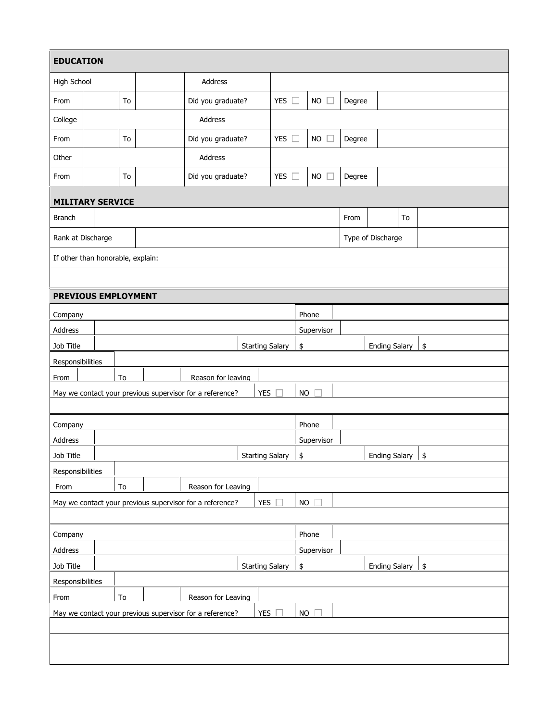| <b>EDUCATION</b>                          |                                  |    |  |  |                                                                                       |                        |               |           |                     |        |                      |    |    |
|-------------------------------------------|----------------------------------|----|--|--|---------------------------------------------------------------------------------------|------------------------|---------------|-----------|---------------------|--------|----------------------|----|----|
| High School                               |                                  |    |  |  | <b>Address</b>                                                                        |                        |               |           |                     |        |                      |    |    |
| From                                      |                                  | To |  |  | Did you graduate?                                                                     |                        | <b>YES</b>    |           | <b>NO</b>           | Degree |                      |    |    |
| College                                   |                                  |    |  |  | Address                                                                               |                        |               |           |                     |        |                      |    |    |
| From                                      |                                  | To |  |  | Did you graduate?                                                                     |                        | <b>YES</b>    |           | NO.                 | Degree |                      |    |    |
| Other                                     |                                  |    |  |  | Address                                                                               |                        |               |           |                     |        |                      |    |    |
| From                                      |                                  | To |  |  | Did you graduate?                                                                     |                        | <b>YES</b>    |           | <b>NO</b>           | Degree |                      |    |    |
|                                           | <b>MILITARY SERVICE</b>          |    |  |  |                                                                                       |                        |               |           |                     |        |                      |    |    |
| Branch                                    |                                  |    |  |  |                                                                                       |                        |               |           |                     | From   |                      | To |    |
| Rank at Discharge                         |                                  |    |  |  |                                                                                       |                        |               |           |                     |        | Type of Discharge    |    |    |
| If other than honorable, explain:         |                                  |    |  |  |                                                                                       |                        |               |           |                     |        |                      |    |    |
|                                           |                                  |    |  |  |                                                                                       |                        |               |           |                     |        |                      |    |    |
| PREVIOUS EMPLOYMENT                       |                                  |    |  |  |                                                                                       |                        |               |           |                     |        |                      |    |    |
| Company                                   |                                  |    |  |  |                                                                                       |                        |               |           | Phone               |        |                      |    |    |
| Address                                   |                                  |    |  |  |                                                                                       |                        |               |           | <b>SHREEVISRE</b>   |        |                      |    |    |
| <b>Job Title</b><br><u>386 Titlê</u>      |                                  |    |  |  |                                                                                       | Starting Salary        |               | \$        |                     |        | Ending Salary        |    | \$ |
| Responsibilities                          |                                  |    |  |  |                                                                                       | <b>Starting Salary</b> |               | \$        |                     |        | <b>EHaing Salary</b> |    | 5  |
| Responsibilities<br>Responsibilities      |                                  | To |  |  | Reason for leaving                                                                    |                        |               |           |                     |        |                      |    |    |
|                                           |                                  |    |  |  | Erom To Beason for Leaving<br>Promine contact your grevious supervises of the reading | <b>YES</b>             |               | <b>NO</b> |                     |        |                      |    |    |
|                                           |                                  |    |  |  | May we contact your previous supervisor for a reference?                              | 粻                      |               | <b>NO</b> |                     |        |                      |    |    |
| Company                                   |                                  |    |  |  |                                                                                       |                        |               |           | Phone               |        |                      |    |    |
| Company<br>Address                        |                                  |    |  |  |                                                                                       |                        |               |           | Phone<br>Supervisor |        |                      |    |    |
| <b>Addresse</b>                           |                                  |    |  |  |                                                                                       | <b>Starting Salary</b> |               |           | <b>Supervisor</b>   |        | <b>Ending Salary</b> |    | \$ |
| Responsibilities                          |                                  |    |  |  |                                                                                       | <b>Starting Salary</b> |               |           |                     |        | <b>Ending Salary</b> |    |    |
| From<br><b>Responsibilities</b>           |                                  | To |  |  | Reason for Leaving                                                                    |                        |               |           |                     |        |                      |    |    |
|                                           |                                  |    |  |  | May we contact your previous supervisor for a reference?                              | <b>YES</b>             |               | <b>NO</b> |                     |        |                      |    |    |
|                                           | To<br>Reason for Leaving<br>From |    |  |  |                                                                                       |                        |               |           |                     |        |                      |    |    |
|                                           |                                  |    |  |  | May we contact your previous supervisor for a reference?                              | YES                    |               |           | <b>No</b> tine      |        |                      |    |    |
| Address,                                  |                                  |    |  |  |                                                                                       |                        |               |           | Supervisor          |        |                      |    |    |
| Job Title                                 |                                  |    |  |  |                                                                                       | <b>Starting Salary</b> |               | \$        |                     |        | <b>Ending Salary</b> |    | \$ |
| <b>Address</b><br><b>Responsibilities</b> |                                  |    |  |  |                                                                                       |                        |               |           | Supervisor          |        |                      |    |    |
| <b>App</b> <sub>1</sub> Title             |                                  | To |  |  | Reason for Leaving Tallary                                                            |                        |               | \$        |                     |        | <b>Ending Salary</b> |    | \$ |
|                                           |                                  |    |  |  | Next was more your previous supervisor for a reference?                               | <b>YES</b>             |               | <b>NO</b> |                     |        |                      |    |    |
| From                                      |                                  | тө |  |  | Reason for Leaving                                                                    |                        |               |           |                     |        |                      |    |    |
|                                           |                                  |    |  |  |                                                                                       |                        |               |           |                     |        |                      |    |    |
|                                           |                                  |    |  |  | May we contact your previous supervisor for a reference?                              |                        | YES $\square$ |           | $NO \square$        |        |                      |    |    |

## **MILITARY SERVICE MILITARY SERVICE**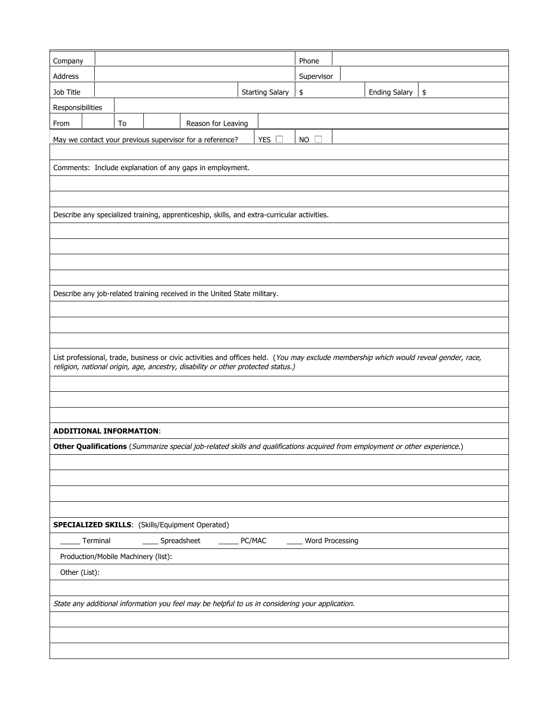| Company                        |                                                          |    |  |                                                                                                 |        |                        | Phone           |  |                                                                                                                              |                                                                                                                                       |
|--------------------------------|----------------------------------------------------------|----|--|-------------------------------------------------------------------------------------------------|--------|------------------------|-----------------|--|------------------------------------------------------------------------------------------------------------------------------|---------------------------------------------------------------------------------------------------------------------------------------|
| Address                        |                                                          |    |  |                                                                                                 |        |                        | Supervisor      |  |                                                                                                                              |                                                                                                                                       |
| Job Title                      |                                                          |    |  |                                                                                                 |        | <b>Starting Salary</b> | \$              |  | <b>Ending Salary</b>                                                                                                         | $\vert$ \$                                                                                                                            |
| Responsibilities               |                                                          |    |  |                                                                                                 |        |                        |                 |  |                                                                                                                              |                                                                                                                                       |
| From                           |                                                          | To |  | Reason for Leaving                                                                              |        |                        |                 |  |                                                                                                                              |                                                                                                                                       |
|                                |                                                          |    |  | May we contact your previous supervisor for a reference?                                        |        | <b>YES</b>             | <b>NO</b>       |  |                                                                                                                              |                                                                                                                                       |
|                                |                                                          |    |  |                                                                                                 |        |                        |                 |  |                                                                                                                              |                                                                                                                                       |
|                                | Comments: Include explanation of any gaps in employment. |    |  |                                                                                                 |        |                        |                 |  |                                                                                                                              |                                                                                                                                       |
|                                |                                                          |    |  |                                                                                                 |        |                        |                 |  |                                                                                                                              |                                                                                                                                       |
|                                |                                                          |    |  |                                                                                                 |        |                        |                 |  |                                                                                                                              |                                                                                                                                       |
|                                |                                                          |    |  | Describe any specialized training, apprenticeship, skills, and extra-curricular activities.     |        |                        |                 |  |                                                                                                                              |                                                                                                                                       |
|                                |                                                          |    |  |                                                                                                 |        |                        |                 |  |                                                                                                                              |                                                                                                                                       |
|                                |                                                          |    |  |                                                                                                 |        |                        |                 |  |                                                                                                                              |                                                                                                                                       |
|                                |                                                          |    |  |                                                                                                 |        |                        |                 |  |                                                                                                                              |                                                                                                                                       |
|                                |                                                          |    |  |                                                                                                 |        |                        |                 |  |                                                                                                                              |                                                                                                                                       |
|                                |                                                          |    |  | Describe any job-related training received in the United State military.                        |        |                        |                 |  |                                                                                                                              |                                                                                                                                       |
|                                |                                                          |    |  |                                                                                                 |        |                        |                 |  |                                                                                                                              |                                                                                                                                       |
|                                |                                                          |    |  |                                                                                                 |        |                        |                 |  |                                                                                                                              |                                                                                                                                       |
|                                |                                                          |    |  |                                                                                                 |        |                        |                 |  |                                                                                                                              |                                                                                                                                       |
|                                |                                                          |    |  | religion, national origin, age, ancestry, disability or other protected status.)                |        |                        |                 |  |                                                                                                                              | List professional, trade, business or civic activities and offices held. (You may exclude membership which would reveal gender, race, |
|                                |                                                          |    |  |                                                                                                 |        |                        |                 |  |                                                                                                                              |                                                                                                                                       |
|                                |                                                          |    |  |                                                                                                 |        |                        |                 |  |                                                                                                                              |                                                                                                                                       |
|                                |                                                          |    |  |                                                                                                 |        |                        |                 |  |                                                                                                                              |                                                                                                                                       |
|                                |                                                          |    |  |                                                                                                 |        |                        |                 |  |                                                                                                                              |                                                                                                                                       |
| <b>ADDITIONAL INFORMATION:</b> |                                                          |    |  |                                                                                                 |        |                        |                 |  |                                                                                                                              |                                                                                                                                       |
|                                |                                                          |    |  |                                                                                                 |        |                        |                 |  | Other Qualifications (Summarize special job-related skills and qualifications acquired from employment or other experience.) |                                                                                                                                       |
|                                |                                                          |    |  |                                                                                                 |        |                        |                 |  |                                                                                                                              |                                                                                                                                       |
|                                |                                                          |    |  |                                                                                                 |        |                        |                 |  |                                                                                                                              |                                                                                                                                       |
|                                |                                                          |    |  |                                                                                                 |        |                        |                 |  |                                                                                                                              |                                                                                                                                       |
|                                |                                                          |    |  |                                                                                                 |        |                        |                 |  |                                                                                                                              |                                                                                                                                       |
|                                |                                                          |    |  | <b>SPECIALIZED SKILLS:</b> (Skills/Equipment Operated)                                          |        |                        |                 |  |                                                                                                                              |                                                                                                                                       |
|                                | Terminal                                                 |    |  | Spreadsheet                                                                                     | PC/MAC |                        | Word Processing |  |                                                                                                                              |                                                                                                                                       |
|                                | Production/Mobile Machinery (list):                      |    |  |                                                                                                 |        |                        |                 |  |                                                                                                                              |                                                                                                                                       |
| Other (List):                  |                                                          |    |  |                                                                                                 |        |                        |                 |  |                                                                                                                              |                                                                                                                                       |
|                                |                                                          |    |  |                                                                                                 |        |                        |                 |  |                                                                                                                              |                                                                                                                                       |
|                                |                                                          |    |  | State any additional information you feel may be helpful to us in considering your application. |        |                        |                 |  |                                                                                                                              |                                                                                                                                       |
|                                |                                                          |    |  |                                                                                                 |        |                        |                 |  |                                                                                                                              |                                                                                                                                       |
|                                |                                                          |    |  |                                                                                                 |        |                        |                 |  |                                                                                                                              |                                                                                                                                       |
|                                |                                                          |    |  |                                                                                                 |        |                        |                 |  |                                                                                                                              |                                                                                                                                       |